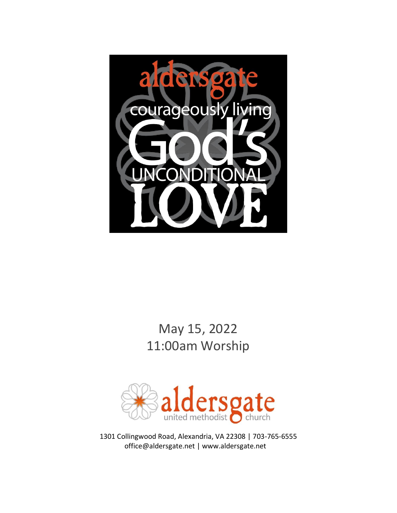

# May 15, 2022 11:00am Worship



1301 Collingwood Road, Alexandria, VA 22308 | 703-765-6555 office@aldersgate.net | www.aldersgate.net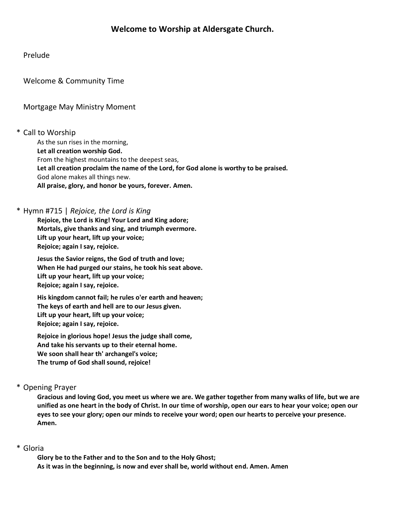# Prelude

Welcome & Community Time

# Mortgage May Ministry Moment

# \* Call to Worship

As the sun rises in the morning, **Let all creation worship God.** From the highest mountains to the deepest seas, **Let all creation proclaim the name of the Lord, for God alone is worthy to be praised.** God alone makes all things new. **All praise, glory, and honor be yours, forever. Amen.**

# \* Hymn #715 | *Rejoice, the Lord is King*

**Rejoice, the Lord is King! Your Lord and King adore; Mortals, give thanks and sing, and triumph evermore. Lift up your heart, lift up your voice; Rejoice; again I say, rejoice.**

**Jesus the Savior reigns, the God of truth and love; When He had purged our stains, he took his seat above. Lift up your heart, lift up your voice; Rejoice; again I say, rejoice.**

**His kingdom cannot fail; he rules o'er earth and heaven; The keys of earth and hell are to our Jesus given. Lift up your heart, lift up your voice; Rejoice; again I say, rejoice.**

**Rejoice in glorious hope! Jesus the judge shall come, And take his servants up to their eternal home. We soon shall hear th' archangel's voice; The trump of God shall sound, rejoice!**

# \* Opening Prayer

**Gracious and loving God, you meet us where we are. We gather together from many walks of life, but we are unified as one heart in the body of Christ. In our time of worship, open our ears to hear your voice; open our eyes to see your glory; open our minds to receive your word; open our hearts to perceive your presence. Amen.**

# \* Gloria

**Glory be to the Father and to the Son and to the Holy Ghost; As it was in the beginning, is now and ever shall be, world without end. Amen. Amen**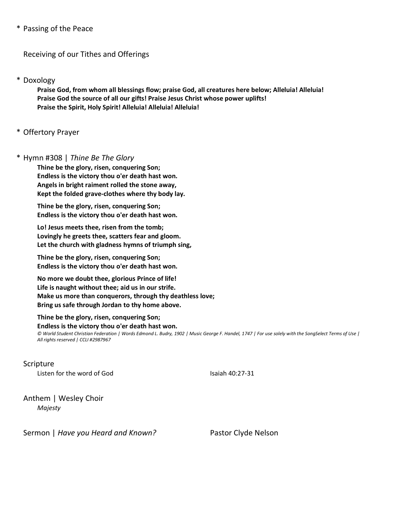### \* Passing of the Peace

Receiving of our Tithes and Offerings

#### \* Doxology

**Praise God, from whom all blessings flow; praise God, all creatures here below; Alleluia! Alleluia! Praise God the source of all our gifts! Praise Jesus Christ whose power uplifts! Praise the Spirit, Holy Spirit! Alleluia! Alleluia! Alleluia!**

# \* Offertory Prayer

#### \* Hymn #308 | *Thine Be The Glory*

**Thine be the glory, risen, conquering Son; Endless is the victory thou o'er death hast won. Angels in bright raiment rolled the stone away, Kept the folded grave-clothes where thy body lay.**

**Thine be the glory, risen, conquering Son; Endless is the victory thou o'er death hast won.**

**Lo! Jesus meets thee, risen from the tomb; Lovingly he greets thee, scatters fear and gloom. Let the church with gladness hymns of triumph sing,**

**Thine be the glory, risen, conquering Son; Endless is the victory thou o'er death hast won.**

**No more we doubt thee, glorious Prince of life! Life is naught without thee; aid us in our strife. Make us more than conquerors, through thy deathless love; Bring us safe through Jordan to thy home above.**

**Thine be the glory, risen, conquering Son; Endless is the victory thou o'er death hast won.** *© World Student Christian Federation | Words Edmond L. Budry, 1902 | Music George F. Handel, 1747 | For use solely with the SongSelect Terms of Use | All rights reserved | CCLI #2987967*

Scripture Listen for the word of God Isaiah 40:27-31

Anthem | Wesley Choir *Majesty*

Sermon | *Have you Heard and Known?* Pastor Clyde Nelson